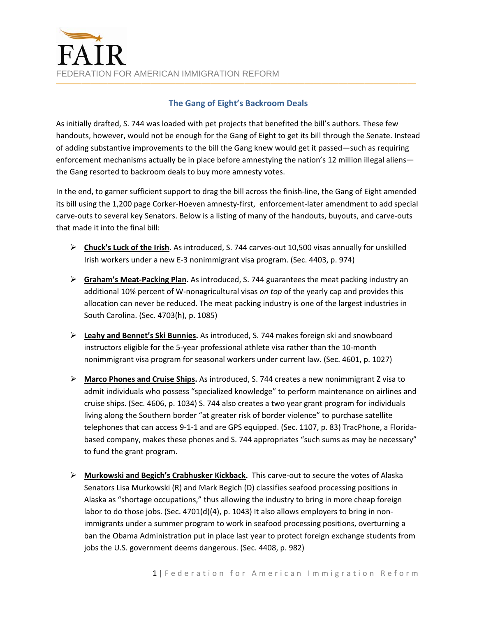

## **The Gang of Eight's Backroom Deals**

As initially drafted, S. 744 was loaded with pet projects that benefited the bill's authors. These few handouts, however, would not be enough for the Gang of Eight to get its bill through the Senate. Instead of adding substantive improvements to the bill the Gang knew would get it passed—such as requiring enforcement mechanisms actually be in place before amnestying the nation's 12 million illegal aliens the Gang resorted to backroom deals to buy more amnesty votes.

In the end, to garner sufficient support to drag the bill across the finish‐line, the Gang of Eight amended its bill using the 1,200 page Corker‐Hoeven amnesty‐first, enforcement‐later amendment to add special carve‐outs to several key Senators. Below is a listing of many of the handouts, buyouts, and carve‐outs that made it into the final bill:

- **Chuck's Luck of the Irish.** As introduced, S. 744 carves‐out 10,500 visas annually for unskilled Irish workers under a new E‐3 nonimmigrant visa program. (Sec. 4403, p. 974)
- **Graham's Meat‐Packing Plan.** As introduced, S. 744 guarantees the meat packing industry an additional 10% percent of W‐nonagricultural visas *on top* of the yearly cap and provides this allocation can never be reduced. The meat packing industry is one of the largest industries in South Carolina. (Sec. 4703(h), p. 1085)
- **Leahy and Bennet's Ski Bunnies.** As introduced, S. 744 makes foreign ski and snowboard instructors eligible for the 5‐year professional athlete visa rather than the 10‐month nonimmigrant visa program for seasonal workers under current law. (Sec. 4601, p. 1027)
- **Marco Phones and Cruise Ships.** As introduced, S. 744 creates a new nonimmigrant Z visa to admit individuals who possess "specialized knowledge" to perform maintenance on airlines and cruise ships. (Sec. 4606, p. 1034) S. 744 also creates a two year grant program for individuals living along the Southern border "at greater risk of border violence" to purchase satellite telephones that can access 9‐1‐1 and are GPS equipped. (Sec. 1107, p. 83) TracPhone, a Florida‐ based company, makes these phones and S. 744 appropriates "such sums as may be necessary" to fund the grant program.
- **Murkowski and Begich's Crabhusker Kickback.** This carve‐out to secure the votes of Alaska Senators Lisa Murkowski (R) and Mark Begich (D) classifies seafood processing positions in Alaska as "shortage occupations," thus allowing the industry to bring in more cheap foreign labor to do those jobs. (Sec. 4701(d)(4), p. 1043) It also allows employers to bring in nonimmigrants under a summer program to work in seafood processing positions, overturning a ban the Obama Administration put in place last year to protect foreign exchange students from jobs the U.S. government deems dangerous. (Sec. 4408, p. 982)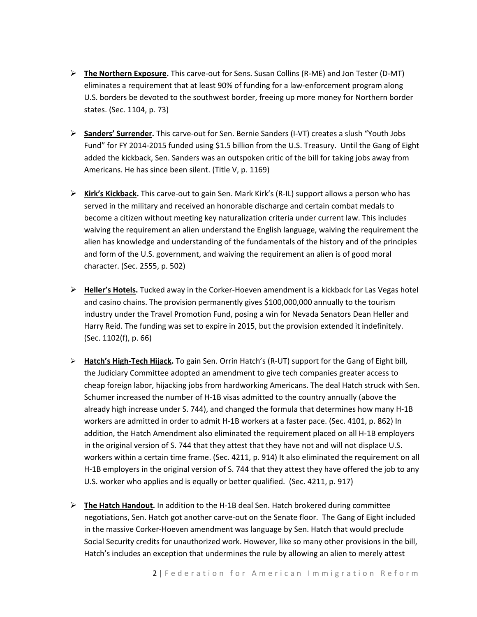- **The Northern Exposure.** This carve‐out for Sens. Susan Collins (R‐ME) and Jon Tester (D‐MT) eliminates a requirement that at least 90% of funding for a law‐enforcement program along U.S. borders be devoted to the southwest border, freeing up more money for Northern border states. (Sec. 1104, p. 73)
- **Sanders' Surrender.** This carve‐out for Sen. Bernie Sanders (I‐VT) creates a slush "Youth Jobs Fund" for FY 2014‐2015 funded using \$1.5 billion from the U.S. Treasury. Until the Gang of Eight added the kickback, Sen. Sanders was an outspoken critic of the bill for taking jobs away from Americans. He has since been silent. (Title V, p. 1169)
- **Kirk's Kickback.** This carve‐out to gain Sen. Mark Kirk's (R‐IL) support allows a person who has served in the military and received an honorable discharge and certain combat medals to become a citizen without meeting key naturalization criteria under current law. This includes waiving the requirement an alien understand the English language, waiving the requirement the alien has knowledge and understanding of the fundamentals of the history and of the principles and form of the U.S. government, and waiving the requirement an alien is of good moral character. (Sec. 2555, p. 502)
- **Heller's Hotels.** Tucked away in the Corker‐Hoeven amendment is a kickback for Las Vegas hotel and casino chains. The provision permanently gives \$100,000,000 annually to the tourism industry under the Travel Promotion Fund, posing a win for Nevada Senators Dean Heller and Harry Reid. The funding was set to expire in 2015, but the provision extended it indefinitely. (Sec. 1102(f), p. 66)
- **Hatch's High‐Tech Hijack.** To gain Sen. Orrin Hatch's (R‐UT) support for the Gang of Eight bill, the Judiciary Committee adopted an amendment to give tech companies greater access to cheap foreign labor, hijacking jobs from hardworking Americans. The deal Hatch struck with Sen. Schumer increased the number of H‐1B visas admitted to the country annually (above the already high increase under S. 744), and changed the formula that determines how many H‐1B workers are admitted in order to admit H‐1B workers at a faster pace. (Sec. 4101, p. 862) In addition, the Hatch Amendment also eliminated the requirement placed on all H‐1B employers in the original version of S. 744 that they attest that they have not and will not displace U.S. workers within a certain time frame. (Sec. 4211, p. 914) It also eliminated the requirement on all H-1B employers in the original version of S. 744 that they attest they have offered the job to any U.S. worker who applies and is equally or better qualified. (Sec. 4211, p. 917)
- **The Hatch Handout.** In addition to the H‐1B deal Sen. Hatch brokered during committee negotiations, Sen. Hatch got another carve‐out on the Senate floor. The Gang of Eight included in the massive Corker‐Hoeven amendment was language by Sen. Hatch that would preclude Social Security credits for unauthorized work. However, like so many other provisions in the bill, Hatch's includes an exception that undermines the rule by allowing an alien to merely attest